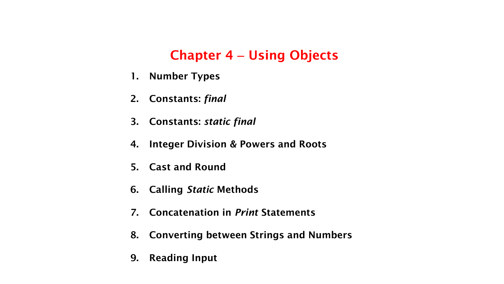# **Chapter 4** – **Using Objects**

- **1. Number Types**
- **2. Constants:** *final*
- **3. Constants:** *static final*
- **4. Integer Division & Powers and Roots**
- **5. Cast and Round**
- **6. Calling** *Static* **Methods**
- **7. Concatenation in** *Print* **Statements**
- **8. Converting between Strings and Numbers**
- **9. Reading Input**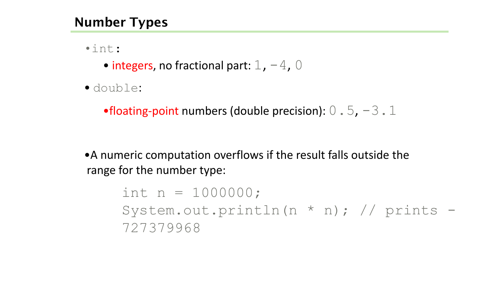# **Number Types**

•int:

- integers, no fractional part:  $1, -4, 0$
- double:

•floating-point numbers (double precision):  $0.5, -3.1$ 

•A numeric computation overflows if the result falls outside the range for the number type:

> int  $n = 1000000$ ; System.out.println(n \* n); // prints - 727379968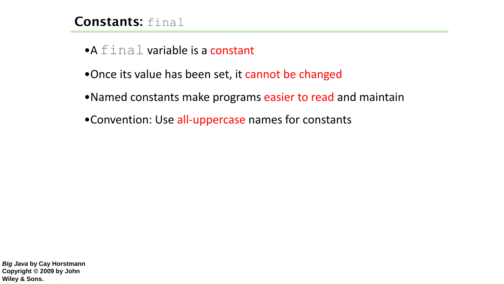- $\bullet A$   $\text{final}$  variable is a constant
- •Once its value has been set, it cannot be changed
- •Named constants make programs easier to read and maintain
- •Convention: Use all-uppercase names for constants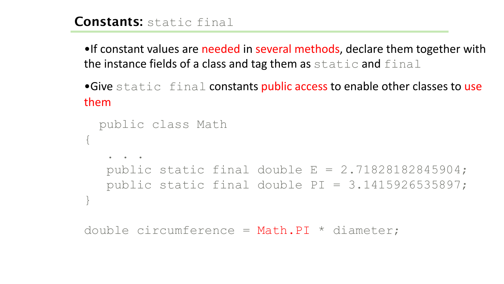#### **Constants:** static final

•If constant values are needed in several methods, declare them together with the instance fields of a class and tag them as  $static$  and  $final$ 

•Give static final constants public access to enable other classes to use them

```
public class Math 
{
   . . . 
  public static final double E = 2.71828182845904;
  public static final double PI = 3.1415926535897; 
}
```

```
double circumference = Math.PI * diameter;
```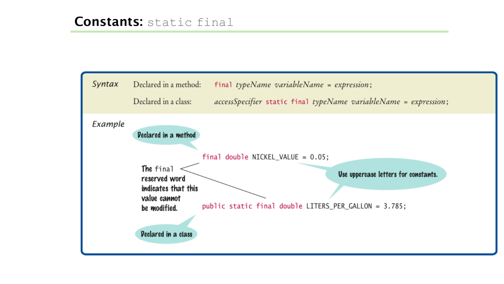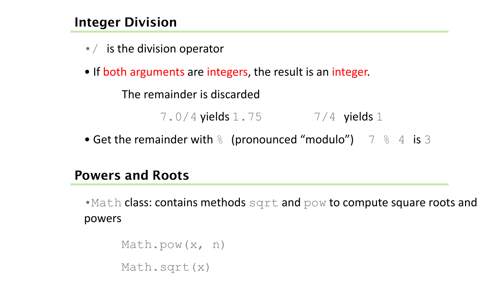# **Integer Division**

- $\bullet$  / is the division operator
- If both arguments are integers, the result is an integer.

The remainder is discarded

7.0/4 yields 1.75 7/4 yields 1

• Get the remainder with  $\frac{1}{6}$  (pronounced "modulo") 7  $\frac{1}{6}$  4 is 3

#### **Powers and Roots**

• Math class: contains methods sqrt and pow to compute square roots and powers

```
Math.pow(x, n)
Math.sqrt(x)
```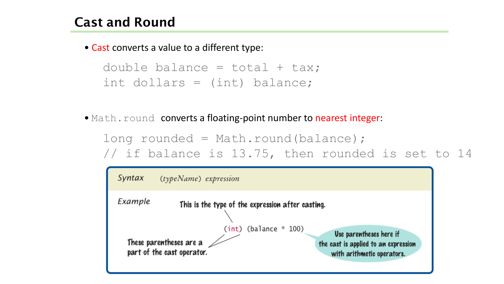• Cast converts a value to a different type:

```
double balance = total + tax;int dollars = (int) balance;
```
• Math.round converts a floating-point number to nearest integer:

```
long rounded = Math.round(balance);
// if balance is 13.75, then rounded is set to 14
```
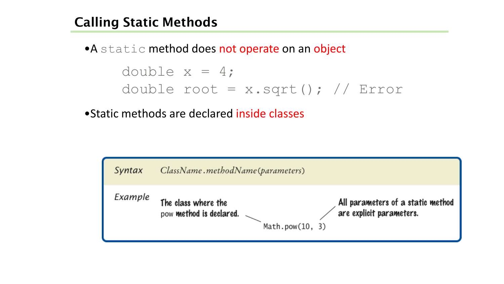# **Calling Static Methods**

• A static method does not operate on an object double  $x = 4$ ; double root =  $x \cdot \sqrt{y}$  // Error

•Static methods are declared inside classes

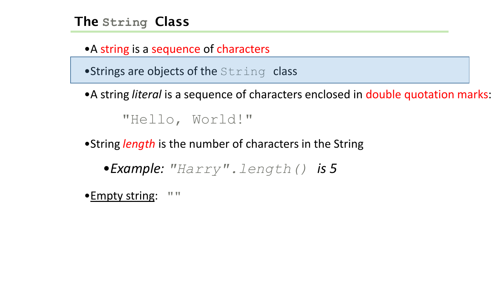# **The String Class**

•A string is a sequence of characters

 $\bullet$ Strings are objects of the  $String$  class

•A string *literal* is a sequence of characters enclosed in double quotation marks:

"Hello, World!"

•String *length* is the number of characters in the String

•*Example: "Harry".length() is 5*

•Empty string: ""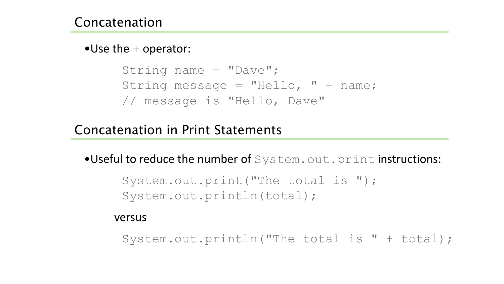$\bullet$ Use the  $+$  operator:

```
String name = "Dave";
String message = "Hello, " + name;
// message is "Hello, Dave"
```
#### Concatenation in Print Statements

•Useful to reduce the number of System.out.print instructions:

System.out.print("The total is "); System.out.println(total);

versus

System.out.println("The total is " + total);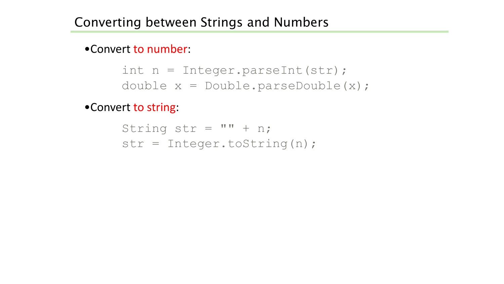•Convert to number:

int n = Integer.parseInt(str); double x = Double.parseDouble(x);

•Convert to string:

String str =  $''' + n;$ str = Integer.toString(n);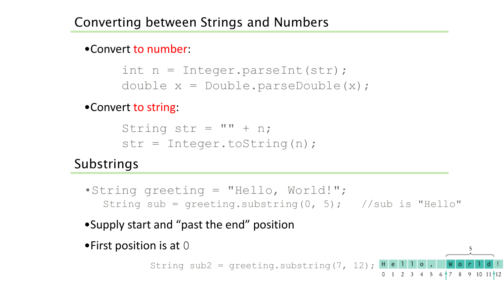#### •Convert to number:

```
int n = Integer.parseInt(str);
double x = Double.parseDouble(x);
```
#### •Convert to string:

```
String str = ''' + n;
str = Integer.toString(n);
```
# **Substrings**

- •String greeting = "Hello, World!"; String sub = greeting.substring(0, 5); //sub is "Hello"
- •Supply start and "past the end" position
- •First position is at  $0$

String sub2 = greeting.substring(7, 12);  $\mathbf{H} \cdot \mathbf{e}$ 

0 1 2 3 4 5 6  $\uparrow$  7 8 9 10 11 12